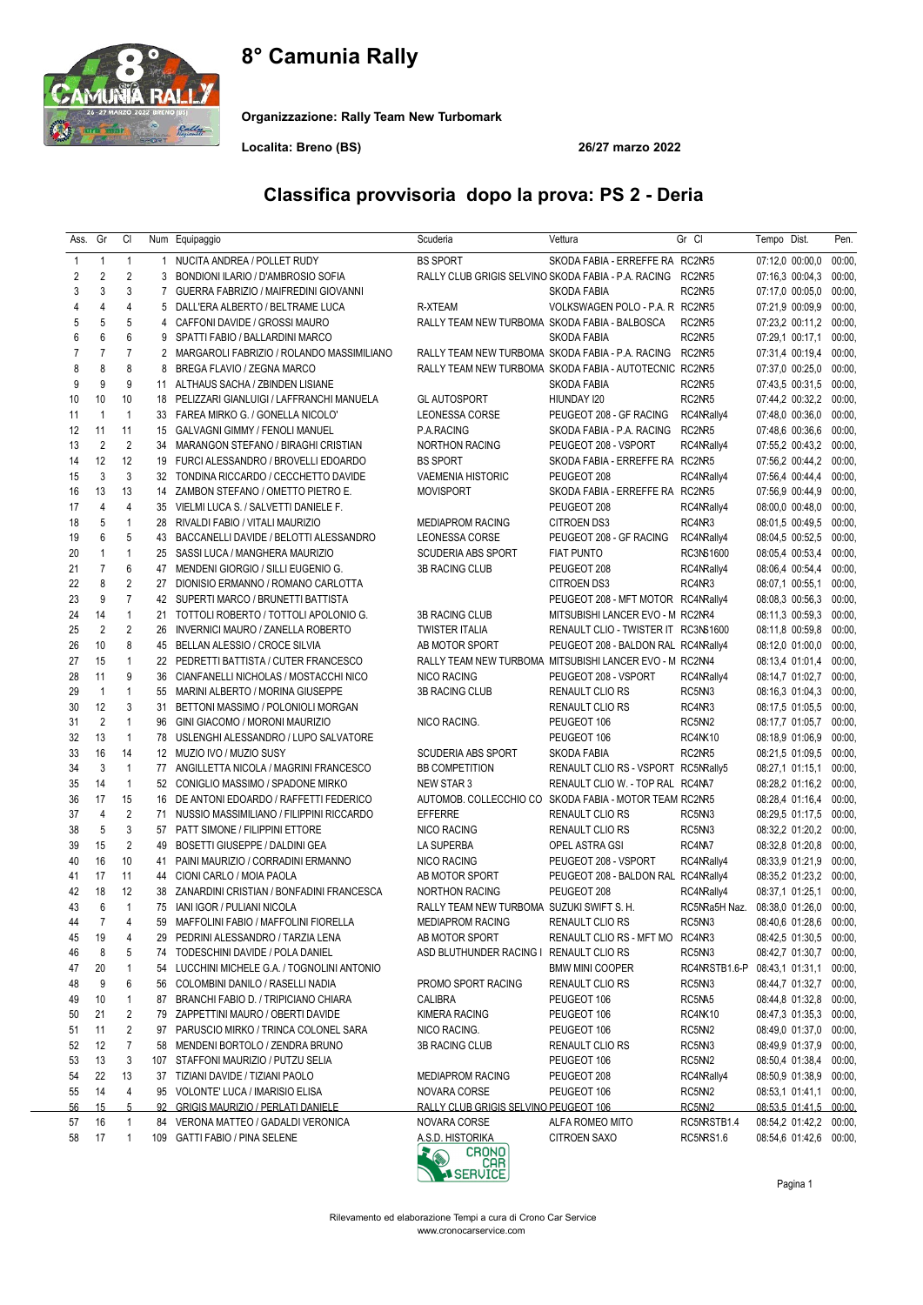# 8° Camunia Rally



Organizzazione: Rally Team New Turbomark

Localita: Breno (BS) 26/27 marzo 2022

| Ass.      | Gr             | CI               |                | Num Equipaggio                               | Scuderia                                                | Vettura                                                | Gr Cl             | Tempo Dist.            | Pen.   |
|-----------|----------------|------------------|----------------|----------------------------------------------|---------------------------------------------------------|--------------------------------------------------------|-------------------|------------------------|--------|
| 1         | $\mathbf{1}$   | $\mathbf{1}$     | 1              | NUCITA ANDREA / POLLET RUDY                  | <b>BS SPORT</b>                                         | SKODA FABIA - ERREFFE RA RC2NR5                        |                   | 07:12,0 00:00,0        | 00:00, |
| 2         | $\overline{2}$ | $\overline{2}$   | 3              | BONDIONI ILARIO / D'AMBROSIO SOFIA           | RALLY CLUB GRIGIS SELVINO SKODA FABIA - P.A. RACING     |                                                        | RC2NR5            | 07:16,3 00:04,3        | 00:00, |
| 3         | 3              | 3                | $\overline{7}$ | GUERRA FABRIZIO / MAIFREDINI GIOVANNI        |                                                         | SKODA FABIA                                            | RC2NR5            | 07:17,0 00:05,0        | 00:00, |
| 4         | $\overline{4}$ | 4                | 5              | DALL'ERA ALBERTO / BELTRAME LUCA             | R-XTEAM                                                 | VOLKSWAGEN POLO - P.A. R RC2NR5                        |                   | 07:21,9 00:09,9        | 00:00, |
| 5         | 5              | 5                | 4              | CAFFONI DAVIDE / GROSSI MAURO                | RALLY TEAM NEW TURBOMA SKODA FABIA - BALBOSCA           |                                                        | RC2NR5            | 07:23,2 00:11,2        | 00:00, |
| 6         | 6              | 6                | 9              | SPATTI FABIO / BALLARDINI MARCO              |                                                         | SKODA FABIA                                            | RC2NR5            | 07:29,1 00:17,1        | 00:00, |
| 7         | $\overline{7}$ | $\overline{7}$   |                | 2 MARGAROLI FABRIZIO / ROLANDO MASSIMILIANO  | RALLY TEAM NEW TURBOMA SKODA FABIA - P.A. RACING        |                                                        | RC2NR5            | 07:31,4 00:19,4        | 00:00, |
| 8         | 8              | 8                | 8              | BREGA FLAVIO / ZEGNA MARCO                   |                                                         | RALLY TEAM NEW TURBOMA SKODA FABIA - AUTOTECNIC RC2NR5 |                   | 07:37,0 00:25,0        | 00:00, |
| 9         | 9              | 9                | 11             | ALTHAUS SACHA / ZBINDEN LISIANE              |                                                         | <b>SKODA FABIA</b>                                     | RC2NR5            | 07:43,5 00:31,5        | 00:00, |
| 10        | 10             | 10               |                | 18 PELIZZARI GIANLUIGI / LAFFRANCHI MANUELA  | <b>GL AUTOSPORT</b>                                     | HIUNDAY 120                                            | RC2NR5            | 07:44,2 00:32,2 00:00, |        |
| 11        | $\mathbf{1}$   | $\mathbf{1}$     |                | 33 FAREA MIRKO G. / GONELLA NICOLO'          | LEONESSA CORSE                                          | PEUGEOT 208 - GF RACING                                | RC4NRally4        | 07:48,0 00:36,0        | 00:00, |
| 12        | 11             | 11               |                | 15 GALVAGNI GIMMY / FENOLI MANUEL            | P.A.RACING                                              | SKODA FABIA - P.A. RACING                              | RC2NR5            | 07:48,6 00:36,6        | 00:00, |
| 13        | $\overline{2}$ | $\overline{2}$   | 34             | MARANGON STEFANO / BIRAGHI CRISTIAN          | NORTHON RACING                                          | PEUGEOT 208 - VSPORT                                   | RC4NRally4        | 07:55,2 00:43,2 00:00, |        |
| 14        | 12             | 12               |                | 19 FURCI ALESSANDRO / BROVELLI EDOARDO       | <b>BS SPORT</b>                                         | SKODA FABIA - ERREFFE RA RC2NR5                        |                   | 07:56,2 00:44,2        | 00:00, |
| 15        | 3              | 3                |                | 32 TONDINA RICCARDO / CECCHETTO DAVIDE       | <b>VAEMENIA HISTORIC</b>                                | PEUGEOT 208                                            | RC4NRally4        | 07:56,4 00:44,4        | 00:00, |
| 16        | 13             | 13               | 14             | ZAMBON STEFANO / OMETTO PIETRO E.            | <b>MOVISPORT</b>                                        | SKODA FABIA - ERREFFE RA RC2NR5                        |                   | 07:56,9 00:44,9        | 00:00, |
| 17        | $\overline{4}$ | $\overline{4}$   |                | 35 VIELMI LUCA S. / SALVETTI DANIELE F.      |                                                         | PEUGEOT 208                                            | RC4NRally4        | 08:00,0 00:48,0        | 00:00, |
| 18        | 5              | $\mathbf{1}$     | 28             | RIVALDI FABIO / VITALI MAURIZIO              | <b>MEDIAPROM RACING</b>                                 | <b>CITROEN DS3</b>                                     | RC4NR3            | 08:01,5 00:49,5        | 00:00, |
| 19        | 6              | 5                |                | 43 BACCANELLI DAVIDE / BELOTTI ALESSANDRO    | <b>LEONESSA CORSE</b>                                   | PEUGEOT 208 - GF RACING                                | RC4NRally4        | 08:04,5 00:52,5        | 00:00, |
| 20        | $\mathbf{1}$   | $\mathbf{1}$     |                | 25 SASSI LUCA / MANGHERA MAURIZIO            | <b>SCUDERIA ABS SPORT</b>                               | <b>FIAT PUNTO</b>                                      | RC3NS1600         | 08:05,4 00:53,4        | 00:00, |
| 21        | $\overline{7}$ | 6                |                | 47 MENDENI GIORGIO / SILLI EUGENIO G.        | 3B RACING CLUB                                          | PEUGEOT 208                                            | RC4NRally4        | 08:06,4 00:54,4        | 00:00, |
| 22        | 8              | $\overline{2}$   | 27             | DIONISIO ERMANNO / ROMANO CARLOTTA           |                                                         | <b>CITROEN DS3</b>                                     | RC4NR3            | 08:07,1 00:55,1        | 00:00, |
| 23        | 9              | $\overline{7}$   |                | 42 SUPERTI MARCO / BRUNETTI BATTISTA         |                                                         | PEUGEOT 208 - MFT MOTOR RC4NRally4                     |                   | 08:08,3 00:56,3        | 00:00, |
| 24        | 14             | $\mathbf{1}$     | 21             | TOTTOLI ROBERTO / TOTTOLI APOLONIO G.        | 3B RACING CLUB                                          | MITSUBISHI LANCER EVO - M RC2NR4                       |                   | 08:11,3 00:59,3        | 00:00, |
| 25        | $\overline{2}$ | $\overline{2}$   | 26             | INVERNICI MAURO / ZANELLA ROBERTO            | <b>TWISTER ITALIA</b>                                   | RENAULT CLIO - TWISTER IT RC3NS1600                    |                   | 08:11,8 00:59,8        | 00:00, |
| 26        | 10             | 8                |                | 45 BELLAN ALESSIO / CROCE SILVIA             | AB MOTOR SPORT                                          | PEUGEOT 208 - BALDON RAL RC4NRally4                    |                   | 08:12,0 01:00,0        | 00:00, |
| 27        | 15             | $\mathbf{1}$     |                | 22 PEDRETTI BATTISTA / CUTER FRANCESCO       | RALLY TEAM NEW TURBOMA MITSUBISHI LANCER EVO - M RC2NN4 |                                                        |                   | 08:13,4 01:01,4        | 00:00, |
| 28        | 11             | 9                | 36             | CIANFANELLI NICHOLAS / MOSTACCHI NICO        | <b>NICO RACING</b>                                      | PEUGEOT 208 - VSPORT                                   | RC4NRally4        | 08:14,7 01:02,7        | 00:00, |
| 29        | $\overline{1}$ | $\mathbf{1}$     |                | 55 MARINI ALBERTO / MORINA GIUSEPPE          | 3B RACING CLUB                                          | RENAULT CLIO RS                                        | RC5NN3            | 08:16,3 01:04,3        | 00:00, |
| 30        | 12             | 3                | 31             | BETTONI MASSIMO / POLONIOLI MORGAN           |                                                         | RENAULT CLIO RS                                        | RC4NR3            | 08:17,5 01:05,5        | 00:00, |
| 31        | $\overline{2}$ | $\mathbf{1}$     | 96             | GINI GIACOMO / MORONI MAURIZIO               | NICO RACING.                                            | PEUGEOT 106                                            | RC5N <sub>2</sub> | 08:17,7 01:05,7        | 00:00, |
| 32        | 13             | $\mathbf{1}$     |                | 78 USLENGHI ALESSANDRO / LUPO SALVATORE      |                                                         | PEUGEOT 106                                            | <b>RC4NK10</b>    | 08:18,9 01:06,9        | 00:00, |
| 33        | 16             | 14               |                | 12 MUZIO IVO / MUZIO SUSY                    | <b>SCUDERIA ABS SPORT</b>                               | SKODA FABIA                                            | RC2NR5            | 08:21,5 01:09,5        | 00:00, |
| 34        | 3              | $\mathbf{1}$     |                | 77 ANGILLETTA NICOLA / MAGRINI FRANCESCO     | <b>BB COMPETITION</b>                                   | RENAULT CLIO RS - VSPORT RC5NRally5                    |                   | 08:27,1 01:15,1        | 00:00, |
| 35        | 14             | $\mathbf{1}$     |                | 52 CONIGLIO MASSIMO / SPADONE MIRKO          | NEW STAR 3                                              | RENAULT CLIO W. - TOP RAL RC4NA7                       |                   | 08:28,2 01:16,2 00:00, |        |
| 36        | 17             | 15               |                | 16 DE ANTONI EDOARDO / RAFFETTI FEDERICO     | AUTOMOB. COLLECCHIO CO SKODA FABIA - MOTOR TEAM RC2NR5  |                                                        |                   | 08:28,4 01:16,4        | 00:00, |
| 37        | $\overline{4}$ | $\overline{2}$   | 71             | NUSSIO MASSIMILIANO / FILIPPINI RICCARDO     | <b>EFFERRE</b>                                          | RENAULT CLIO RS                                        | RC5NN3            | 08:29,5 01:17,5        | 00:00, |
| 38        | 5              | 3                |                | 57 PATT SIMONE / FILIPPINI ETTORE            | NICO RACING                                             | RENAULT CLIO RS                                        | RC5N <sub>3</sub> | 08:32,2 01:20,2        | 00:00, |
| 39        | 15             | $\overline{2}$   |                | 49 BOSETTI GIUSEPPE / DALDINI GEA            | LA SUPERBA                                              | OPEL ASTRA GSI                                         | RC4NA7            | 08:32,8 01:20,8        | 00:00, |
| 40        | 16             | 10               | 41             | PAINI MAURIZIO / CORRADINI ERMANNO           | <b>NICO RACING</b>                                      | PEUGEOT 208 - VSPORT                                   | RC4NRally4        | 08:33,9 01:21,9        | 00:00, |
| 41        | 17             | 11               |                | 44 CIONI CARLO / MOIA PAOLA                  | AB MOTOR SPORT                                          | PEUGEOT 208 - BALDON RAL RC4NRally4                    |                   | 08:35,2 01:23,2        | 00:00, |
| 42        | 18             | 12               | 38             | ZANARDINI CRISTIAN / BONFADINI FRANCESCA     | <b>NORTHON RACING</b>                                   | PEUGEOT 208                                            | RC4NRally4        | 08:37,1 01:25,1        | 00:00, |
| 43        | 6              | $\mathbf{1}$     |                | 75 IANI IGOR / PULIANI NICOLA                | RALLY TEAM NEW TURBOMA SUZUKI SWIFT S. H.               |                                                        | RC5NRa5H Naz.     | 08:38,0 01:26,0        | 00:00, |
| 44        | $\overline{7}$ | $\overline{4}$   |                | 59 MAFFOLINI FABIO / MAFFOLINI FIORELLA      | <b>MEDIAPROM RACING</b>                                 | <b>RENAULT CLIO RS</b>                                 | RC5NN3            | 08:40,6 01:28,6 00:00, |        |
| 45        | 19             | 4                | 29             | PEDRINI ALESSANDRO / TARZIA LENA             | AB MOTOR SPORT                                          | RENAULT CLIO RS - MFT MO RC4NR3                        |                   | 08:42,5 01:30,5        | 00:00, |
| 46        | 8              | 5                |                | 74 TODESCHINI DAVIDE / POLA DANIEL           | ASD BLUTHUNDER RACING I                                 | <b>RENAULT CLIO RS</b>                                 | RC5NN3            | 08:42,7 01:30,7        | 00:00, |
| 47        | 20             | $\mathbf{1}$     |                | 54 LUCCHINI MICHELE G.A. / TOGNOLINI ANTONIO |                                                         | <b>BMW MINI COOPER</b>                                 | RC4NRSTB1.6-P     | 08:43,1 01:31,1        | 00:00, |
| 48        | 9              | 6                |                | 56 COLOMBINI DANILO / RASELLI NADIA          | PROMO SPORT RACING                                      | RENAULT CLIO RS                                        | RC5NN3            | 08:44,7 01:32,7        | 00:00, |
| 49        | 10             | $\mathbf{1}$     | 87             | BRANCHI FABIO D. / TRIPICIANO CHIARA         | CALIBRA                                                 | PEUGEOT 106                                            | RC5NA5            | 08:44,8 01:32,8        | 00:00, |
| 50        | 21             | 2                |                | 79 ZAPPETTINI MAURO / OBERTI DAVIDE          | KIMERA RACING                                           | PEUGEOT 106                                            | <b>RC4NK10</b>    | 08:47,3 01:35,3        | 00:00, |
| 51        | 11             | $\overline{2}$   | 97             | PARUSCIO MIRKO / TRINCA COLONEL SARA         | NICO RACING.                                            | PEUGEOT 106                                            | RC5NN2            | 08:49,0 01:37,0        | 00:00, |
| 52        | 12             | $\boldsymbol{7}$ |                | 58 MENDENI BORTOLO / ZENDRA BRUNO            | 3B RACING CLUB                                          | RENAULT CLIO RS                                        | RC5NN3            | 08:49,9 01:37,9        | 00:00, |
| 53        | 13             | 3                |                | 107 STAFFONI MAURIZIO / PUTZU SELIA          |                                                         | PEUGEOT 106                                            | RC5NN2            | 08:50,4 01:38,4        | 00:00, |
| 54        | 22             | 13               |                | 37 TIZIANI DAVIDE / TIZIANI PAOLO            | <b>MEDIAPROM RACING</b>                                 | PEUGEOT 208                                            | RC4NRally4        | 08:50,9 01:38,9        | 00:00, |
| 55        | 14             | 4                |                | 95 VOLONTE' LUCA / IMARISIO ELISA            | NOVARA CORSE                                            | PEUGEOT 106                                            | RC5N <sub>2</sub> | 08:53,1 01:41,1        | 00:00, |
| <u>56</u> | 15             | 5                | 92             | <b>GRIGIS MAURIZIO / PERLATI DANIELE</b>     | RALLY CLUB GRIGIS SELVINO PEUGEOT 106                   |                                                        | RC5NN2            | 08:53,5 01:41,5 00:00, |        |
| 57        | 16             | $\mathbf{1}$     |                | 84 VERONA MATTEO / GADALDI VERONICA          | NOVARA CORSE                                            | ALFA ROMEO MITO                                        | RC5NRSTB1.4       | 08:54,2 01:42,2 00:00, |        |
| 58        | 17             | $\mathbf{1}$     |                | 109 GATTI FABIO / PINA SELENE                | A.S.D. HISTORIKA<br>coouo)                              | <b>CITROEN SAXO</b>                                    | RC5NRS1.6         | 08:54,6 01:42,6 00:00, |        |

### Classifica provvisoria dopo la prova: PS 2 - Deria



Pagina 1